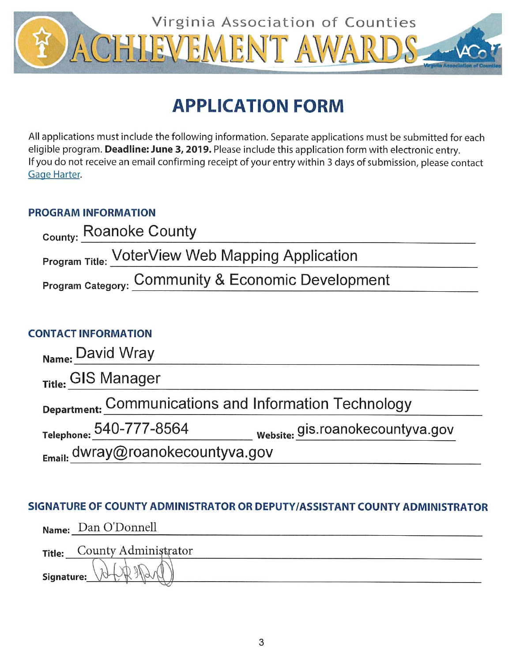

# **APPLICATION FORM**

All applications must include the following information. Separate applications must be submitted for each eligible program. Deadline: June 3, 2019. Please include this application form with electronic entry. If you do not receive an email confirming receipt of your entry within 3 days of submission, please contact Gage Harter.

## **PROGRAM INFORMATION**

| County: Roanoke County                             |  |
|----------------------------------------------------|--|
| Program Title: VoterView Web Mapping Application   |  |
| Program Category: Community & Economic Development |  |

# **CONTACT INFORMATION**

| Name: David Wray                                      |                                  |
|-------------------------------------------------------|----------------------------------|
| Title: GIS Manager                                    |                                  |
| Department: Communications and Information Technology |                                  |
| Telephone: 540-777-8564                               | website: gis.roanokecountyva.gov |
| $_{Email}$ dwray@roanokecountyva.gov                  |                                  |

# SIGNATURE OF COUNTY ADMINISTRATOR OR DEPUTY/ASSISTANT COUNTY ADMINISTRATOR

|               | Name: Dan O'Donnell  |
|---------------|----------------------|
| <b>Title:</b> | County Administrator |
| Signature:    |                      |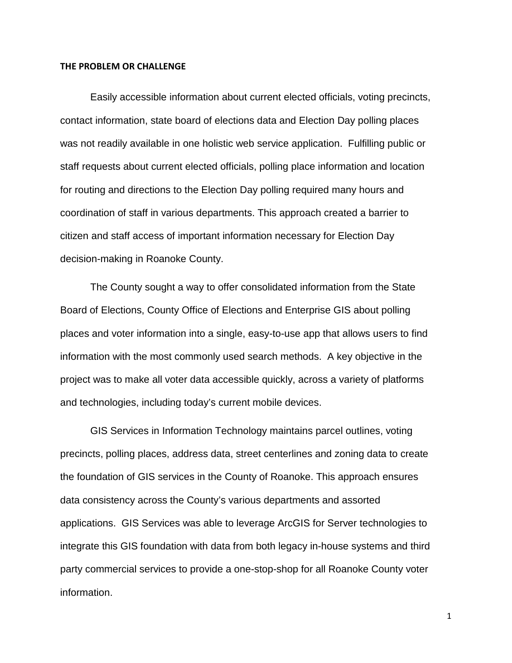### **THE PROBLEM OR CHALLENGE**

Easily accessible information about current elected officials, voting precincts, contact information, state board of elections data and Election Day polling places was not readily available in one holistic web service application. Fulfilling public or staff requests about current elected officials, polling place information and location for routing and directions to the Election Day polling required many hours and coordination of staff in various departments. This approach created a barrier to citizen and staff access of important information necessary for Election Day decision-making in Roanoke County.

The County sought a way to offer consolidated information from the State Board of Elections, County Office of Elections and Enterprise GIS about polling places and voter information into a single, easy-to-use app that allows users to find information with the most commonly used search methods. A key objective in the project was to make all voter data accessible quickly, across a variety of platforms and technologies, including today's current mobile devices.

GIS Services in Information Technology maintains parcel outlines, voting precincts, polling places, address data, street centerlines and zoning data to create the foundation of GIS services in the County of Roanoke. This approach ensures data consistency across the County's various departments and assorted applications. GIS Services was able to leverage ArcGIS for Server technologies to integrate this GIS foundation with data from both legacy in-house systems and third party commercial services to provide a one-stop-shop for all Roanoke County voter information.

1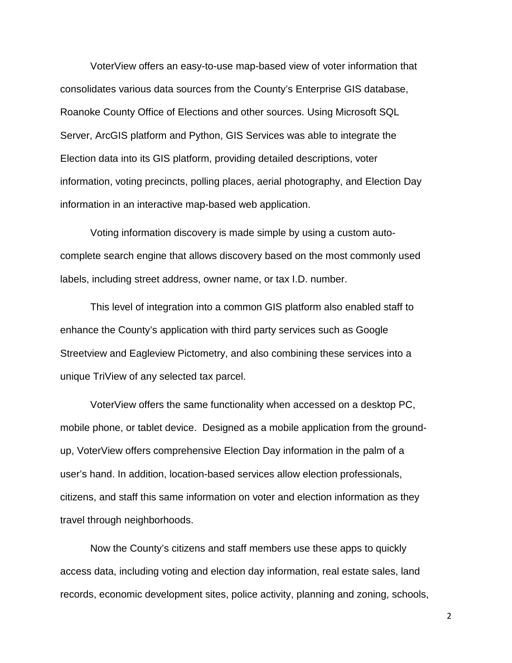VoterView offers an easy-to-use map-based view of voter information that consolidates various data sources from the County's Enterprise GIS database, Roanoke County Office of Elections and other sources. Using Microsoft SQL Server, ArcGIS platform and Python, GIS Services was able to integrate the Election data into its GIS platform, providing detailed descriptions, voter information, voting precincts, polling places, aerial photography, and Election Day information in an interactive map-based web application.

Voting information discovery is made simple by using a custom autocomplete search engine that allows discovery based on the most commonly used labels, including street address, owner name, or tax I.D. number.

This level of integration into a common GIS platform also enabled staff to enhance the County's application with third party services such as Google Streetview and Eagleview Pictometry, and also combining these services into a unique TriView of any selected tax parcel.

VoterView offers the same functionality when accessed on a desktop PC, mobile phone, or tablet device. Designed as a mobile application from the groundup, VoterView offers comprehensive Election Day information in the palm of a user's hand. In addition, location-based services allow election professionals, citizens, and staff this same information on voter and election information as they travel through neighborhoods.

Now the County's citizens and staff members use these apps to quickly access data, including voting and election day information, real estate sales, land records, economic development sites, police activity, planning and zoning, schools,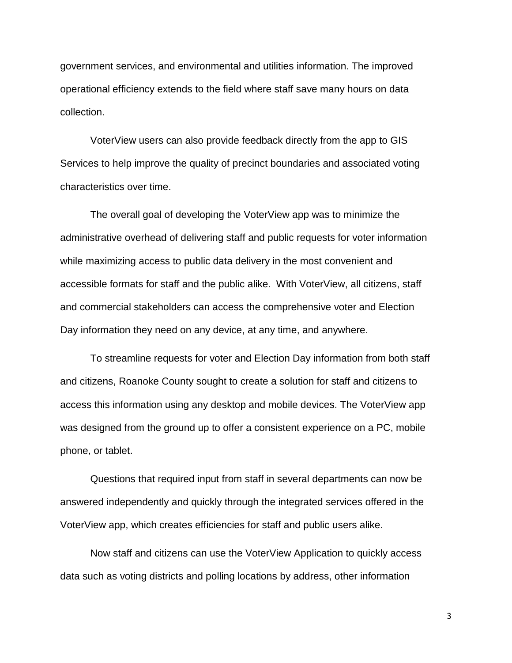government services, and environmental and utilities information. The improved operational efficiency extends to the field where staff save many hours on data collection.

VoterView users can also provide feedback directly from the app to GIS Services to help improve the quality of precinct boundaries and associated voting characteristics over time.

The overall goal of developing the VoterView app was to minimize the administrative overhead of delivering staff and public requests for voter information while maximizing access to public data delivery in the most convenient and accessible formats for staff and the public alike. With VoterView, all citizens, staff and commercial stakeholders can access the comprehensive voter and Election Day information they need on any device, at any time, and anywhere.

To streamline requests for voter and Election Day information from both staff and citizens, Roanoke County sought to create a solution for staff and citizens to access this information using any desktop and mobile devices. The VoterView app was designed from the ground up to offer a consistent experience on a PC, mobile phone, or tablet.

Questions that required input from staff in several departments can now be answered independently and quickly through the integrated services offered in the VoterView app, which creates efficiencies for staff and public users alike.

Now staff and citizens can use the VoterView Application to quickly access data such as voting districts and polling locations by address, other information

3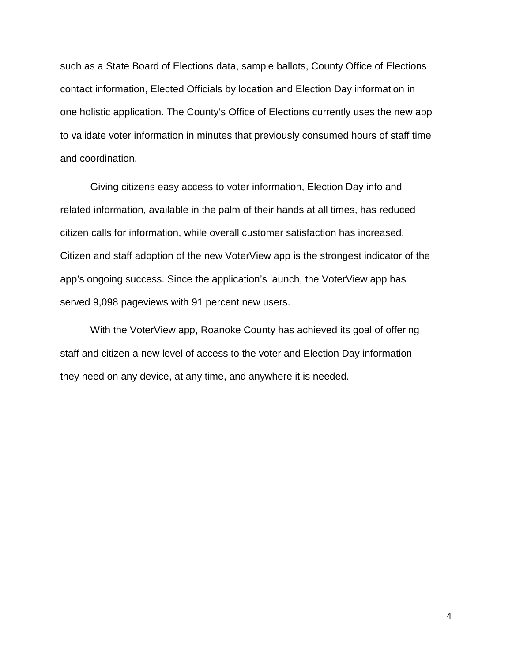such as a State Board of Elections data, sample ballots, County Office of Elections contact information, Elected Officials by location and Election Day information in one holistic application. The County's Office of Elections currently uses the new app to validate voter information in minutes that previously consumed hours of staff time and coordination.

Giving citizens easy access to voter information, Election Day info and related information, available in the palm of their hands at all times, has reduced citizen calls for information, while overall customer satisfaction has increased. Citizen and staff adoption of the new VoterView app is the strongest indicator of the app's ongoing success. Since the application's launch, the VoterView app has served 9,098 pageviews with 91 percent new users.

With the VoterView app, Roanoke County has achieved its goal of offering staff and citizen a new level of access to the voter and Election Day information they need on any device, at any time, and anywhere it is needed.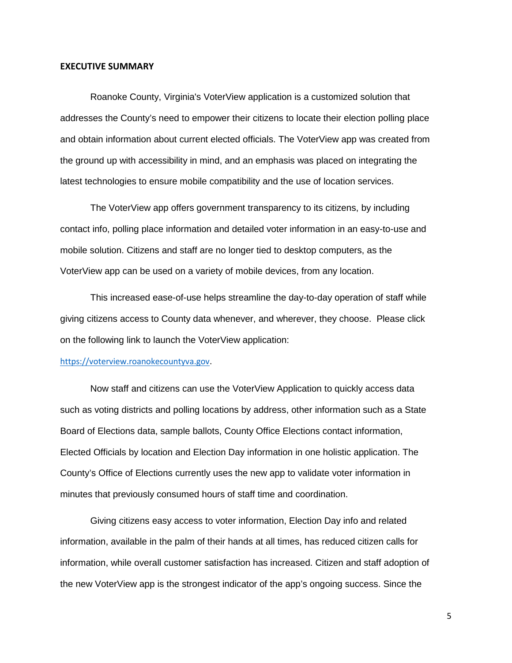#### **EXECUTIVE SUMMARY**

Roanoke County, Virginia's VoterView application is a customized solution that addresses the County's need to empower their citizens to locate their election polling place and obtain information about current elected officials. The VoterView app was created from the ground up with accessibility in mind, and an emphasis was placed on integrating the latest technologies to ensure mobile compatibility and the use of location services.

The VoterView app offers government transparency to its citizens, by including contact info, polling place information and detailed voter information in an easy-to-use and mobile solution. Citizens and staff are no longer tied to desktop computers, as the VoterView app can be used on a variety of mobile devices, from any location.

This increased ease-of-use helps streamline the day-to-day operation of staff while giving citizens access to County data whenever, and wherever, they choose. Please click on the following link to launch the VoterView application:

## [https://voterview.roanokecountyva.gov](https://voterview.roanokecountyva.gov/).

Now staff and citizens can use the VoterView Application to quickly access data such as voting districts and polling locations by address, other information such as a State Board of Elections data, sample ballots, County Office Elections contact information, Elected Officials by location and Election Day information in one holistic application. The County's Office of Elections currently uses the new app to validate voter information in minutes that previously consumed hours of staff time and coordination.

Giving citizens easy access to voter information, Election Day info and related information, available in the palm of their hands at all times, has reduced citizen calls for information, while overall customer satisfaction has increased. Citizen and staff adoption of the new VoterView app is the strongest indicator of the app's ongoing success. Since the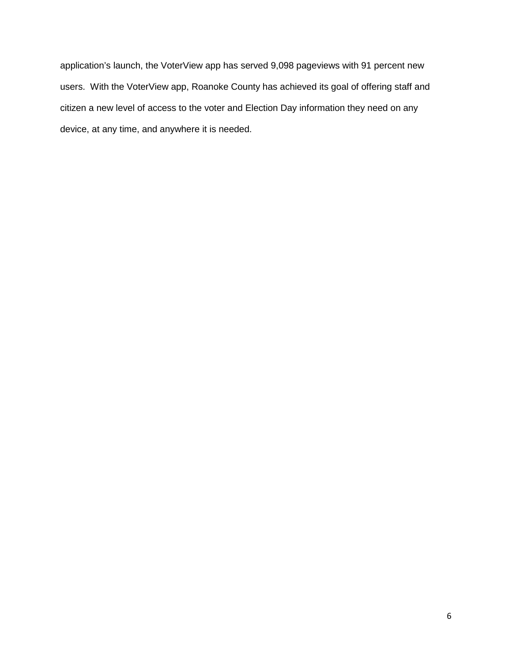application's launch, the VoterView app has served 9,098 pageviews with 91 percent new users. With the VoterView app, Roanoke County has achieved its goal of offering staff and citizen a new level of access to the voter and Election Day information they need on any device, at any time, and anywhere it is needed.